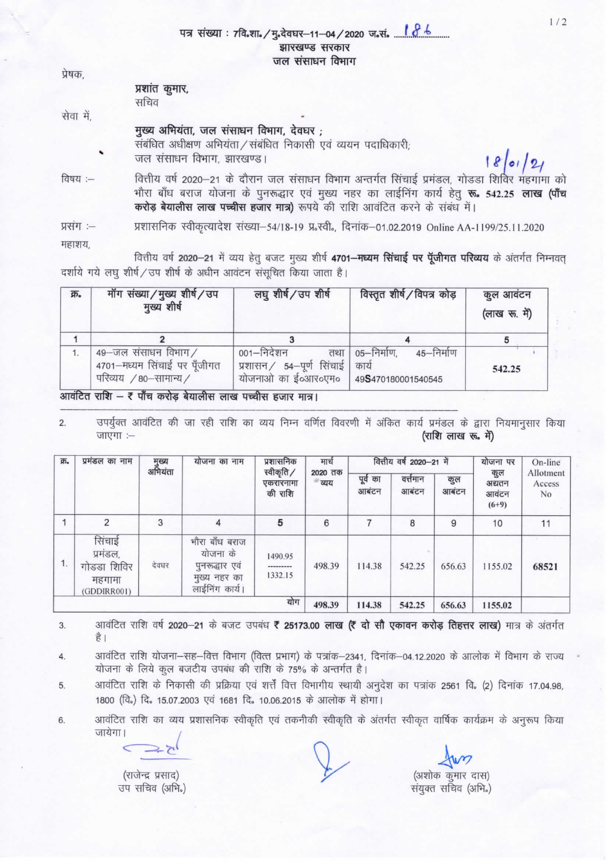|  | पत्र संख्या : 7वि.शा. / मु.देवघर–11–04 / 2020 ज.सं. <mark>( 0<sup>. . 6</sup>. </mark> |  |
|--|----------------------------------------------------------------------------------------|--|
|  | झारखण्ड सरकार                                                                          |  |
|  | जल संसाधन विभाग                                                                        |  |

 $0.01$ 

| प्रषक,    |                                                                                                                                                                                                                                                                             |
|-----------|-----------------------------------------------------------------------------------------------------------------------------------------------------------------------------------------------------------------------------------------------------------------------------|
|           | प्रशांत कुमार,<br>सचिव                                                                                                                                                                                                                                                      |
| सेवा में, |                                                                                                                                                                                                                                                                             |
| ٠         | मुख्य अभियंता, जल संसाधन विभाग, देवघर;<br>संबंधित अधीक्षण अभियंता / संबंधित निकासी एवं व्ययन पदाधिकारी;<br>जल संसाधन विभाग, झारखण्ड।                                                                                                                                        |
| विषय :--  | वित्तीय वर्ष 2020–21 के दौरान जल संसाधन विभाग अन्तर्गत सिंचाई प्रमंडल, गोडडा शिविर महगामा को<br>भौरा बाँध बराज योजना के पुनरूद्धार एवं मुख्य नहर का लाईनिंग कार्य हेतु रू. 542.25 लाख (पाँच<br>करोड़ बेयालीस लाख पच्चीस हजार मात्र) रूपये की राशि आवंटित करने के संबंध में। |
|           | $\begin{array}{ccc} \circ & \circ & \circ \end{array}$                                                                                                                                                                                                                      |

प्रशासनिक स्वीकृत्यादेश संख्या–54/18-19 प्र<sup>ृ</sup>स्वी., दिनांक–01.02.2019 Online AA-1199/25.11.2020 प्रसग :-

महाशय

वित्तीय वर्ष 2020-21 में व्यय हेतु बजट मुख्य शीर्ष 4701-मध्यम सिंचाई पर पूँजीगत परिव्यय के अंतर्गत निम्नवत् दर्शाये गये लघु शीर्ष/उप शीर्ष के अधीन आवंटन संसूचित किया जाता है।

| क्र | मॉग संख्या/मुख्य शीर्ष/उप<br>मुख्य शीर्ष                                    | लघु शीर्ष/उप शीर्ष                                                    | विस्तृत शीर्ष / विपत्र कोड़                              | कुल आवंटन<br>(लाख रू. में) |  |
|-----|-----------------------------------------------------------------------------|-----------------------------------------------------------------------|----------------------------------------------------------|----------------------------|--|
|     |                                                                             |                                                                       |                                                          |                            |  |
|     | 49-जल संसाधन विभाग/<br>4701-मध्यम सिंचाई पर पूँजीगत<br>परिव्यय /80-सामान्य/ | 001–निदेशन<br>तथा<br>प्रशासन / 54-पूर्ण सिंचाई<br>योजनाओं का ई०आर०एम० | 05-निर्माण,<br>45-निर्माण<br>कार्य<br>49S470180001540545 | 542.25                     |  |

आवंटित राशि – रै पाँच करोड़ बेयालीस लाख पच्चीस हजार मात्र।

उपर्युक्त आवंटित की जा रही राशि का व्यय निम्न वर्णित विवरणी में अंकित कार्य प्रमंडल के द्वारा नियमानुसार किया  $2.$ जाएगा :-(राशि लाख रू. में)

| 页。 | प्रमंडल का नाम                                             | मुख्य<br>अभियंता | योजना का नाम                                                                   | प्रशासनिक<br>स्वीकृति /<br>एकरारनामा<br>की राशि | मार्च<br>2020 तक<br>- व्यय | वित्तीय वर्ष 2020-21 में |                   |              | योजना पर                          | On-line                   |
|----|------------------------------------------------------------|------------------|--------------------------------------------------------------------------------|-------------------------------------------------|----------------------------|--------------------------|-------------------|--------------|-----------------------------------|---------------------------|
|    |                                                            |                  |                                                                                |                                                 |                            | पूर्व का<br>आबंटन        | वत्तेमान<br>आबंटन | कुल<br>आबंटन | कुल<br>अद्यतन<br>आवंटन<br>$(6+9)$ | Allotment<br>Access<br>No |
|    | $\overline{2}$                                             | 3                | 4                                                                              | 5                                               | 6                          |                          | 8                 | 9            | 10                                | 11                        |
| 1. | सिंचाई<br>प्रमंडल,<br>गोडडा शिविर<br>महगामा<br>(GDDIRR001) | देवघर            | भौरा बाँध बराज<br>योजना के<br>पुनरूद्धार एवं<br>मुख्य नहर का<br>लाईनिंग कार्य। | 1490.95<br>---------<br>1332.15                 | 498.39                     | 114.38                   | 542.25            | 656.63       | 1155.02                           | 68521                     |
|    |                                                            |                  |                                                                                | योग                                             | 498.39                     | 114.38                   | 542.25            | 656.63       | 1155.02                           |                           |

आवंटित राशि वर्ष 2020-21 के बजट उपबंध ₹ 25173.00 लाख (₹ दो सौ एकावन करोड़ तिहत्तर लाख) मात्र के अंतर्गत 3. है।

आवंटित राशि योजना-सह-वित्त विभाग (वित्त प्रभाग) के पत्रांक-2341, दिनांक-04.12.2020 के आलोक में विभाग के राज्य  $\overline{4}$ . योजना के लिये कुल बजटीय उपबंध की राशि के 75% के अन्तर्गत है।

आवंटित राशि के निकासी की प्रक्रिया एवं शर्त्तें वित्त विभागीय स्थायी अनुदेश का पत्रांक 2561 वि. (2) दिनांक 17.04.98, 5. 1800 (वि.) दि. 15.07.2003 एवं 1681 दि. 10.06.2015 के आलोक में होगा।

आवंटित राशि का व्यय प्रशासनिक स्वीकृति एवं तकनीकी स्वीकृति के अंतर्गत स्वीकृत वार्षिक कार्यक्रम के अनुरूप किया 6. जायेगा।

(राजेन्द्र प्रसाद)

उप सचिव (अभि.)

(अशोक कुमार दास)

संयुक्त सचिव (अभि.)